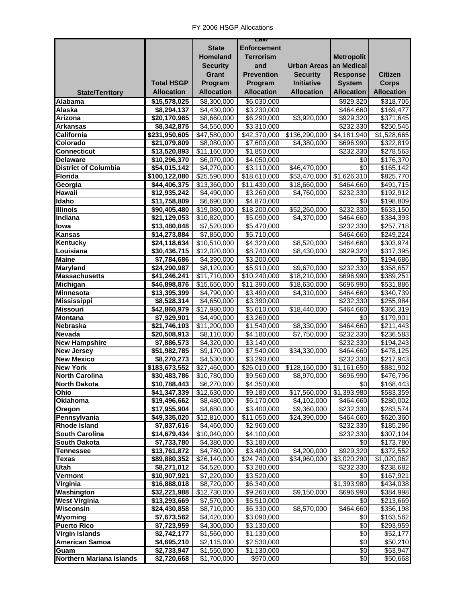|                                 |                   |                          | Law                     |                   |                            |                       |
|---------------------------------|-------------------|--------------------------|-------------------------|-------------------|----------------------------|-----------------------|
|                                 |                   | <b>State</b>             | <b>Enforcement</b>      |                   |                            |                       |
|                                 |                   | Homeland                 | <b>Terrorism</b>        |                   | <b>Metropolit</b>          |                       |
|                                 |                   | <b>Security</b>          | and                     | Urban Areas I     | an Medical                 |                       |
|                                 |                   |                          |                         |                   |                            |                       |
|                                 |                   | <b>Grant</b>             | <b>Prevention</b>       | <b>Security</b>   | <b>Response</b>            | <b>Citizen</b>        |
|                                 | <b>Total HSGP</b> | Program                  | Program                 | Initiative        | <b>System</b>              | <b>Corps</b>          |
| <b>State/Territory</b>          | <b>Allocation</b> | <b>Allocation</b>        | <b>Allocation</b>       | <b>Allocation</b> | <b>Allocation</b>          | <b>Allocation</b>     |
| Alabama                         | \$15,578,025      | \$8,300,000              | \$6,030,000             |                   | \$929,320                  | \$318,705             |
| Alaska                          | \$8,294,137       | \$4,430,000              | \$3,230,000             |                   | \$464,660                  | $\overline{$}169,477$ |
| Arizona                         | \$20,170,965      | \$8,660,000              | \$6,290,000             | \$3,920,000       | \$929,320                  | 3371,645              |
| <b>Arkansas</b>                 | \$8,342,875       | \$4,550,000              | \$3,310,000             |                   | \$232,330                  | \$250,545             |
| California                      | \$231,950,605     | \$47,580,000             | \$42,370,000            | \$136,290,000     | $\overline{84}$ , 181, 940 | \$1,528,665           |
| Colorado                        | \$21,079,809      | \$8,080,000              | \$7,600,000             | \$4,380,000       | \$696,990                  | \$322,819             |
| <b>Connecticut</b>              | \$13,520,893      | \$11,160,000             | \$1,850,000             |                   | \$232,330                  | \$278,563             |
| <b>Delaware</b>                 | \$10,296,370      | \$6,070,000              | \$4,050,000             |                   | \$0                        | \$176,370             |
| <b>District of Columbia</b>     | \$54,015,142      | \$4,270,000              | \$3,110,000             | \$46,470,000      | \$0                        | \$165,142             |
| Florida                         | \$100,122,080     | \$25,590,000             | \$18,610,000            | \$53,470,000      | \$1,626,310                | \$825,770             |
| Georgia                         | \$44,406,375      | \$13,360,000             | \$11,430,000            | \$18,660,000      | \$464,660                  | \$491,715             |
| Hawaii                          | \$12,935,242      | \$4,490,000              | \$3,260,000             | \$4,760,000       | \$232,330                  | $\overline{$}192,912$ |
| Idaho                           |                   | \$6,690,000              | \$4,870,000             |                   | \$0                        | $\overline{$}198,809$ |
|                                 | \$11,758,809      |                          |                         |                   |                            |                       |
| <b>Illinois</b>                 | \$90,405,480      | \$19,080,000             | \$18,200,000            | \$52,260,000      | \$232,330                  | \$633,150             |
| Indiana                         | \$21,129,053      | \$10,820,000             | \$5,090,000             | \$4,370,000       | \$464,660                  | \$384,393             |
| lowa                            | \$13,480,048      | \$7,520,000              | \$5,470,000             |                   | \$232,330                  | \$257,718             |
| <b>Kansas</b>                   | \$14,273,884      | \$7,850,000              | \$5,710,000             |                   | \$464,660                  | \$249,224             |
| <b>Kentucky</b>                 | \$24,118,634      | \$10,510,000             | \$4,320,000             | \$8,520,000       | \$464,660                  | \$303,974             |
| Louisiana                       | \$30,436,715      | \$12,020,000             | \$8,740,000             | \$8,430,000       | \$929,320                  | \$317,395             |
| <b>Maine</b>                    | \$7,784,686       | \$4,390,000              | \$3,200,000             |                   | \$0                        | \$194,686             |
| <b>Maryland</b>                 | \$24,290,987      | \$8,120,000              | $\overline{$5,910,000}$ | \$9,670,000       | \$232,330                  | \$358,657             |
| <b>Massachusetts</b>            | \$41,246,241      | \$11,710,000             | \$10,240,000            | \$18,210,000      | \$696,990                  | \$389,251             |
| <b>Michigan</b>                 | \$46,898,876      | \$15,650,000             | \$11,390,000            | \$18,630,000      | \$696,990                  | \$531,886             |
| <b>Minnesota</b>                | \$13,395,399      | \$4,790,000              | \$3,490,000             | \$4,310,000       | \$464,660                  | \$340,739             |
| <b>Mississippi</b>              | \$8,528,314       | \$4,650,000              | \$3,390,000             |                   | \$232,330                  | \$255,984             |
| <b>Missouri</b>                 | \$42,860,979      | \$17,980,000             | \$5,610,000             | \$18,440,000      | \$464,660                  | \$366,319             |
| <b>Montana</b>                  | \$7,929,901       | \$4,490,000              | \$3,260,000             |                   | \$0                        | \$179,901             |
| Nebraska                        | \$21,746,103      | $\overline{$11,200,000}$ | \$1,540,000             | \$8,330,000       | \$464,660                  | \$211,443             |
| <b>Nevada</b>                   | \$20,508,913      | \$8,110,000              | \$4,180,000             | \$7,750,000       | \$232,330                  | $\overline{$}236,583$ |
| <b>New Hampshire</b>            | \$7,886,573       | \$4,320,000              | \$3,140,000             |                   | \$232,330                  | \$194,243             |
| <b>New Jersey</b>               | \$51,982,785      | \$9,170,000              | \$7,540,000             | \$34,330,000      | \$464,660                  | \$478,125             |
| <b>New Mexico</b>               | \$8,270,273       | \$4,530,000              | \$3,290,000             |                   | \$232,330                  | \$217,943             |
| <b>New York</b>                 | \$183,673,552     | \$27,460,000             | \$26,010,000            | \$128,160,000     | $\overline{\$1,161,650}$   | \$881,902             |
| <b>North Carolina</b>           | \$30,483,786      |                          |                         |                   |                            |                       |
| <b>North Dakota</b>             |                   | \$10,780,000             | \$9,560,000             | \$8,970,000       | \$696,990                  | \$476,796             |
|                                 | \$10,788,443      | \$6,270,000              | \$4,350,000             |                   | \$0                        | \$168,443             |
| Ohio                            | \$41,347,339      | \$12,630,000             | \$9,180,000             | \$17,560,000      | \$1,393,980                | \$583,359             |
| <b>Oklahoma</b>                 | \$19,496,662      | \$8,480,000              | \$6,170,000             | \$4,102,000       | \$464,660                  | \$280,002             |
| Oregon                          | \$17,955,904      | \$4,680,000              | \$3,400,000             | \$9,360,000       | \$232,330                  | \$283,574             |
| Pennsylvania                    | \$49,335,020      | \$12,810,000             | \$11,050,000            | \$24,390,000      | \$464,660                  | \$620,360             |
| <b>Rhode Island</b>             | \$7,837,616       | \$4,460,000              | \$2,960,000             |                   | \$232,330                  | \$185,286             |
| <b>South Carolina</b>           | \$14,679,434      | \$10,040,000             | \$4,100,000             |                   | \$232,330                  | \$307,104             |
| <b>South Dakota</b>             | \$7,733,780       | \$4,380,000              | $\overline{$3,180,000}$ |                   | \$0                        | \$173,780             |
| <b>Tennessee</b>                | \$13,761,872      | \$4,780,000              | \$3,480,000             | \$4,200,000       | \$929,320                  | \$372,552             |
| <b>Texas</b>                    | \$89,880,352      | \$26,140,000             | \$24,740,000            | \$34,960,000      | \$3,020,290                | \$1,020,062           |
| Utah                            | \$8,271,012       | \$4,520,000              | \$3,280,000             |                   | \$232,330                  | \$238,682             |
| Vermont                         | \$10,907,921      | \$7,220,000              | \$3,520,000             |                   | \$0                        | \$167,921             |
| Virginia                        | \$16,888,018      | \$8,720,000              | \$6,340,000             |                   | \$1,393,980                | \$434,038             |
| Washington                      | \$32,221,988      | \$12,730,000             | \$9,260,000             | \$9,150,000       | \$696,990                  | \$384,998             |
| <b>West Virginia</b>            | \$13,293,669      | \$7,570,000              | $\overline{$5,510,000}$ |                   | \$0                        | \$213,669             |
| Wisconsin                       | \$24,430,858      | \$8,710,000              | \$6,330,000             | \$8,570,000       | \$464,660                  | \$356,198             |
| Wyoming                         | \$7,673,562       | \$4,420,000              | \$3,090,000             |                   | \$0                        | \$163,562             |
| <b>Puerto Rico</b>              | \$7,723,959       | \$4,300,000              | $\overline{33,}130,000$ |                   | \$0                        | \$293,959             |
| <b>Virgin Islands</b>           | \$2,742,177       | \$1,560,000              | \$1,130,000             |                   | \$0                        | \$52,177              |
| <b>American Samoa</b>           | \$4,695,210       | \$2,115,000              | \$2,530,000             |                   | $\sqrt{6}$                 | \$50,210              |
| Guam                            | \$2,733,947       | \$1,550,000              | \$1,130,000             |                   | \$0                        | \$53,947              |
| <b>Northern Mariana Islands</b> | \$2,720,668       | \$1,700,000              | \$970,000               |                   | \$0                        | \$50,668              |
|                                 |                   |                          |                         |                   |                            |                       |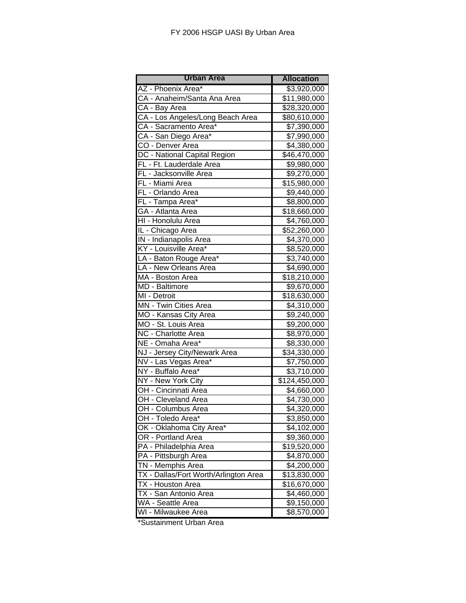| <b>Urban Area</b>                     | <b>Allocation</b>        |  |  |
|---------------------------------------|--------------------------|--|--|
| AZ - Phoenix Area*                    | \$3,920,000              |  |  |
| CA - Anaheim/Santa Ana Area           | $\overline{$}11,980,000$ |  |  |
| CA - Bay Area                         | \$28,320,000             |  |  |
| CA - Los Angeles/Long Beach Area      | \$80,610,000             |  |  |
| CA - Sacramento Area*                 | \$7,390,000              |  |  |
| CA - San Diego Area*                  | \$7,990,000              |  |  |
| CO - Denver Area                      | \$4,380,000              |  |  |
| DC - National Capital Region          | \$46,470,000             |  |  |
| FL - Ft. Lauderdale Area              | \$9,980,000              |  |  |
| FL - Jacksonville Area                | \$9,270,000              |  |  |
| FL - Miami Area                       | \$15,980,000             |  |  |
| FL - Orlando Area                     | \$9,440,000              |  |  |
| FL - Tampa Area*                      | \$8,800,000              |  |  |
| GA - Atlanta Area                     | \$18,660,000             |  |  |
| HI - Honolulu Area                    | \$4,760,000              |  |  |
| IL - Chicago Area                     | \$52,260,000             |  |  |
| IN - Indianapolis Area                | \$4,370,000              |  |  |
| KY - Louisville Area*                 | $\overline{$8,520,000}$  |  |  |
| LA - Baton Rouge Area*                | \$3,740,000              |  |  |
| LA - New Orleans Area                 | \$4,690,000              |  |  |
| MA - Boston Area                      | $\overline{$}18,210,000$ |  |  |
| MD - Baltimore                        | \$9,670,000              |  |  |
| MI - Detroit                          | \$18,630,000             |  |  |
| MN - Twin Cities Area                 | \$4,310,000              |  |  |
| MO - Kansas City Area                 | \$9,240,000              |  |  |
| MO - St. Louis Area                   | \$9,200,000              |  |  |
| NC - Charlotte Area                   | \$8,970,000              |  |  |
| NE - Omaha Area*                      | \$8,330,000              |  |  |
| NJ - Jersey City/Newark Area          | \$34,330,000             |  |  |
| NV - Las Vegas Area*                  | \$7,750,000              |  |  |
| NY - Buffalo Area*                    | \$3,710,000              |  |  |
| NY - New York City                    | \$124,450,000            |  |  |
| OH - Cincinnati Area                  | \$4,660,000              |  |  |
| OH - Cleveland Area                   | \$4,730,000              |  |  |
| OH - Columbus Area                    | \$4,320,000              |  |  |
| OH - Toledo Area*                     | \$3,850,000              |  |  |
| OK - Oklahoma City Area*              | \$4,102,000              |  |  |
| OR - Portland Area                    | \$9,360,000              |  |  |
| PA - Philadelphia Area                | $\overline{$}19,520,000$ |  |  |
| PA - Pittsburgh Area                  | \$4,870,000              |  |  |
| TN - Memphis Area                     | \$4,200,000              |  |  |
| TX - Dallas/Fort Worth/Arlington Area | \$13,830,000             |  |  |
| TX - Houston Area                     | \$16,670,000             |  |  |
| TX - San Antonio Area                 | \$4,460,000              |  |  |
| WA - Seattle Area                     | \$9,150,000              |  |  |
| WI - Milwaukee Area                   | \$8,570,000              |  |  |

\*Sustainment Urban Area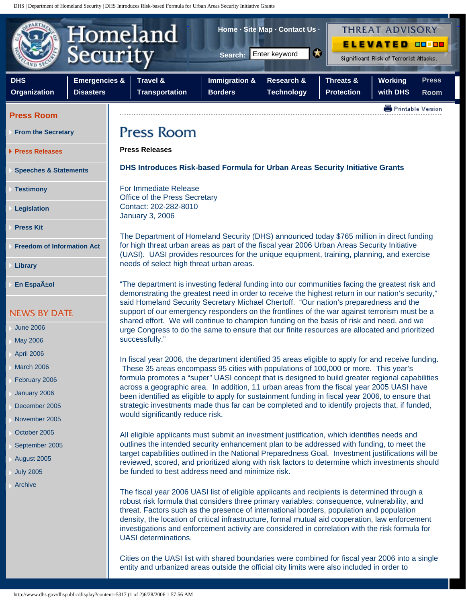DHS | Department of Homeland Security | DHS Introduces Risk-based Formula for Urban Areas Security Initiative Grants



## **Press Room**

- **[From the Secretary](http://www.dhs.gov/dhspublic/display?theme=42)**
- **[Press Releases](http://www.dhs.gov/dhspublic/archdisplay?theme=43)**

**[Speeches & Statements](http://www.dhs.gov/dhspublic/archdisplay?theme=44)**

**[Testimony](http://www.dhs.gov/dhspublic/display?theme=45)**

**[Legislation](http://www.dhs.gov/dhspublic/display?theme=46)**

- **[Press Kit](http://www.dhs.gov/dhspublic/display?theme=47)**
- **[Freedom of Information Act](http://www.dhs.gov/dhspublic/display?theme=48)**
- **[Library](http://www.dhs.gov/dhspublic/display?theme=49)**
- **En Espa** $\tilde{A}$ **±ol**

- [June 2006](http://www.dhs.gov/dhspublic/archdisplay?theme=43,44,45,47&monthyear=062006)
- [May 2006](http://www.dhs.gov/dhspublic/archdisplay?theme=43,44,45,47&monthyear=052006)
- [April 2006](http://www.dhs.gov/dhspublic/archdisplay?theme=43,44,45,47&monthyear=042006)
- [March 2006](http://www.dhs.gov/dhspublic/archdisplay?theme=43,44,45,47&monthyear=032006)
- [February 2006](http://www.dhs.gov/dhspublic/archdisplay?theme=43,44,45,47&monthyear=022006)
- [January 2006](http://www.dhs.gov/dhspublic/archdisplay?theme=43,44,45,47&monthyear=012006)
- [December 2005](http://www.dhs.gov/dhspublic/archdisplay?theme=43,44,45,47&monthyear=122005)
- [November 2005](http://www.dhs.gov/dhspublic/archdisplay?theme=43,44,45,47&monthyear=112005)
- [October 2005](http://www.dhs.gov/dhspublic/archdisplay?theme=43,44,45,47&monthyear=102005)
- [September 2005](http://www.dhs.gov/dhspublic/archdisplay?theme=43,44,45,47&monthyear=092005)
- [August 2005](http://www.dhs.gov/dhspublic/archdisplay?theme=43,44,45,47&monthyear=082005)
- [July 2005](http://www.dhs.gov/dhspublic/archdisplay?theme=43,44,45,47&monthyear=072005)
- [Archive](http://www.dhs.gov/dhspublic/archdisplay?theme=43,44,45,47&monthyear=062005)

**Press Releases**

**DHS Introduces Risk-based Formula for Urban Areas Security Initiative Grants**

For Immediate Release Office of the Press Secretary Contact: 202-282-8010 January 3, 2006

The Department of Homeland Security (DHS) announced today \$765 million in direct funding for high threat urban areas as part of the fiscal year 2006 Urban Areas Security Initiative (UASI). UASI provides resources for the unique equipment, training, planning, and exercise needs of select high threat urban areas.

"The department is investing federal funding into our communities facing the greatest risk and demonstrating the greatest need in order to receive the highest return in our nation's security," said Homeland Security Secretary Michael Chertoff. "Our nation's preparedness and the support of our emergency responders on the frontlines of the war against terrorism must be a shared effort. We will continue to champion funding on the basis of risk and need, and we urge Congress to do the same to ensure that our finite resources are allocated and prioritized successfully."

In fiscal year 2006, the department identified 35 areas eligible to apply for and receive funding. These 35 areas encompass 95 cities with populations of 100,000 or more. This year's formula promotes a "super" UASI concept that is designed to build greater regional capabilities across a geographic area. In addition, 11 urban areas from the fiscal year 2005 UASI have been identified as eligible to apply for sustainment funding in fiscal year 2006, to ensure that strategic investments made thus far can be completed and to identify projects that, if funded, would significantly reduce risk.

All eligible applicants must submit an investment justification, which identifies needs and outlines the intended security enhancement plan to be addressed with funding, to meet the target capabilities outlined in the National Preparedness Goal. Investment justifications will be reviewed, scored, and prioritized along with risk factors to determine which investments should be funded to best address need and minimize risk.

The fiscal year 2006 UASI list of eligible applicants and recipients is determined through a robust risk formula that considers three primary variables: consequence, vulnerability, and threat. Factors such as the presence of international borders, population and population density, the location of critical infrastructure, formal mutual aid cooperation, law enforcement investigations and enforcement activity are considered in correlation with the risk formula for UASI determinations.

Cities on the UASI list with shared boundaries were combined for fiscal year 2006 into a single entity and urbanized areas outside the official city limits were also included in order to